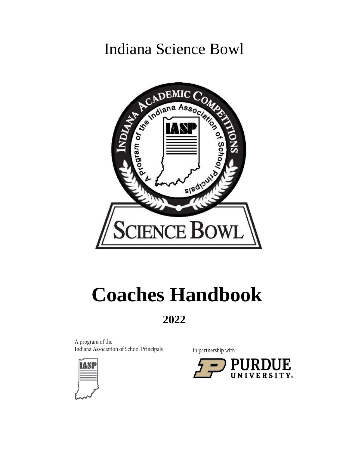## Indiana Science Bowl



# **Coaches Handbook**

### **2022**

A program of the Indiana Association of School Principals



in partnership with

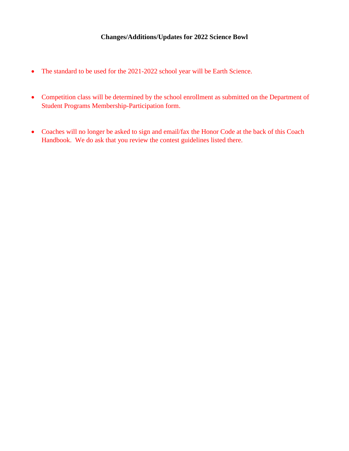#### **Changes/Additions/Updates for 2022 Science Bowl**

- The standard to be used for the 2021-2022 school year will be Earth Science.
- Competition class will be determined by the school enrollment as submitted on the Department of Student Programs Membership-Participation form.
- Coaches will no longer be asked to sign and email/fax the Honor Code at the back of this Coach Handbook. We do ask that you review the contest guidelines listed there.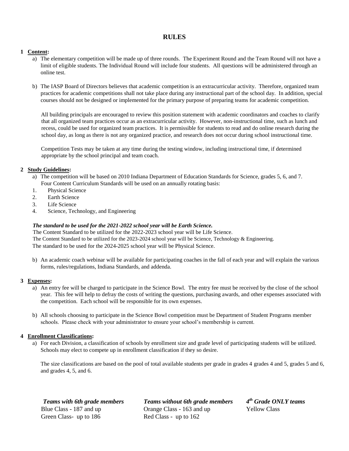#### **RULES**

#### **1 Content:**

- a) The elementary competition will be made up of three rounds. The Experiment Round and the Team Round will not have a limit of eligible students. The Individual Round will include four students. All questions will be administered through an online test.
- b) The IASP Board of Directors believes that academic competition is an extracurricular activity. Therefore, organized team practices for academic competitions shall not take place during any instructional part of the school day. In addition, special courses should not be designed or implemented for the primary purpose of preparing teams for academic competition.

All building principals are encouraged to review this position statement with academic coordinators and coaches to clarify that all organized team practices occur as an extracurricular activity. However, non-instructional time, such as lunch and recess, could be used for organized team practices. It is permissible for students to read and do online research during the school day, as long as there is not any organized practice, and research does not occur during school instructional time.

Competition Tests may be taken at any time during the testing window, including instructional time, if determined appropriate by the school principal and team coach.

#### **2 Study Guidelines:**

- a) The competition will be based on 2010 Indiana Department of Education Standards for Science, grades 5, 6, and 7. Four Content Curriculum Standards will be used on an annually rotating basis:
- 1. Physical Science
- 2. Earth Science
- 3. Life Science
- 4. Science, Technology, and Engineering

#### *The standard to be used for the 2021-2022 school year will be Earth Science.*

The Content Standard to be utilized for the 2022-2023 school year will be Life Science. The Content Standard to be utilized for the 2023-2024 school year will be Science, Technology & Engineering. The standard to be used for the 2024-2025 school year will be Physical Science.

b) An academic coach webinar will be available for participating coaches in the fall of each year and will explain the various forms, rules/regulations, Indiana Standards, and addenda.

#### **3 Expenses:**

- a) An entry fee will be charged to participate in the Science Bowl. The entry fee must be received by the close of the school year*.* This fee will help to defray the costs of writing the questions, purchasing awards, and other expenses associated with the competition. Each school will be responsible for its own expenses.
- b) All schools choosing to participate in the Science Bowl competition must be Department of Student Programs member schools. Please check with your administrator to ensure your school's membership is current.

#### **4 Enrollment Classifications:**

a) For each Division, a classification of schools by enrollment size and grade level of participating students will be utilized. Schools may elect to compete up in enrollment classification if they so desire.

The size classifications are based on the pool of total available students per grade in grades 4 grades 4 and 5, grades 5 and 6, and grades 4, 5, and 6.

Green Class- up to 186 Red Class - up to 162

*Teams with 6th grade members Teams without 6th grade members 4* **Blue Class - 187 and up Class - 163 and up Yellow Class** 

*th Grade ONLY teams*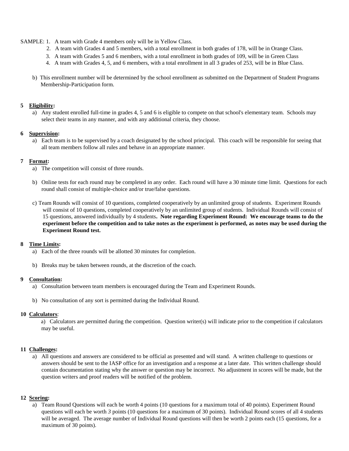- SAMPLE: 1. A team with Grade 4 members only will be in Yellow Class.
	- 2. A team with Grades 4 and 5 members, with a total enrollment in both grades of 178, will be in Orange Class.
	- 3. A team with Grades 5 and 6 members, with a total enrollment in both grades of 109, will be in Green Class
	- 4. A team with Grades 4, 5, and 6 members, with a total enrollment in all 3 grades of 253, will be in Blue Class.
	- b) This enrollment number will be determined by the school enrollment as submitted on the Department of Student Programs Membership-Participation form.

#### **5 Eligibility:**

a) Any student enrolled full-time in grades 4, 5 and 6 is eligible to compete on that school's elementary team. Schools may select their teams in any manner, and with any additional criteria, they choose.

#### **6 Supervision:**

a) Each team is to be supervised by a coach designated by the school principal. This coach will be responsible for seeing that all team members follow all rules and behave in an appropriate manner.

#### **7 Format:**

- a) The competition will consist of three rounds.
- b) Online tests for each round may be completed in any order. Each round will have a 30 minute time limit. Questions for each round shall consist of multiple-choice and/or true/false questions.
- c) Team Rounds will consist of 10 questions, completed cooperatively by an unlimited group of students. Experiment Rounds will consist of 10 questions, completed cooperatively by an unlimited group of students. Individual Rounds will consist of 15 questions, answered individually by 4 students**. Note regarding Experiment Round: We encourage teams to do the experiment before the competition and to take notes as the experiment is performed, as notes may be used during the Experiment Round test.**

#### **8 Time Limits:**

- a) Each of the three rounds will be allotted 30 minutes for completion.
- b) Breaks may be taken between rounds, at the discretion of the coach.

#### **9 Consultation:**

- a) Consultation between team members is encouraged during the Team and Experiment Rounds.
- b) No consultation of any sort is permitted during the Individual Round.

#### **10 Calculators**:

a) Calculators are permitted during the competition. Question writer(s) will indicate prior to the competition if calculators may be useful.

#### **11 Challenges:**

a) All questions and answers are considered to be official as presented and will stand. A written challenge to questions or answers should be sent to the IASP office for an investigation and a response at a later date. This written challenge should contain documentation stating why the answer or question may be incorrect. No adjustment in scores will be made, but the question writers and proof readers will be notified of the problem.

#### **12 Scoring:**

a) Team Round Questions will each be worth 4 points (10 questions for a maximum total of 40 points). Experiment Round questions will each be worth *3* points (10 questions for a maximum of 30 points). Individual Round scores of all 4 students will be averaged. The average number of Individual Round questions will then be worth 2 points each (15 questions, for a maximum of 30 points).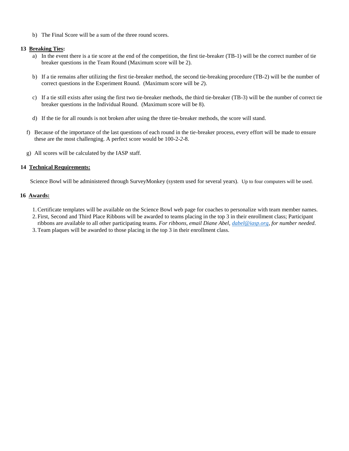b) The Final Score will be a sum of the three round scores.

#### **13 Breaking Ties:**

- a) In the event there is a tie score at the end of the competition, the first tie-breaker (TB-1) will be the correct number of tie breaker questions in the Team Round (Maximum score will be 2).
- b) If a tie remains after utilizing the first tie-breaker method, the second tie-breaking procedure (TB-2) will be the number of correct questions in the Experiment Round. (Maximum score will be *2*).
- c) If a tie still exists after using the first two tie-breaker methods, the third tie-breaker (TB-3) will be the number of correct tie breaker questions in the Individual Round. (Maximum score will be 8).
- d) If the tie for all rounds is not broken after using the three tie-breaker methods, the score will stand.
- f) Because of the importance of the last questions of each round in the tie-breaker process, every effort will be made to ensure these are the most challenging. A perfect score would be 100-2-*2*-8.
- g) All scores will be calculated by the IASP staff.

#### **14 Technical Requirements:**

Science Bowl will be administered through SurveyMonkey (system used for several years). Up to four computers will be used.

#### **16 Awards:**

- 1.Certificate templates will be available on the Science Bowl web page for coaches to personalize with team member names.
- 2. First, Second and Third Place Ribbons will be awarded to teams placing in the top 3 in their enrollment class; Participant
- ribbons are available to all other participating teams. *For ribbons, email Diane Abel, [dabel@iasp.org,](mailto:dabel@iasp.org) for number needed*. 3.Team plaques will be awarded to those placing in the top 3 in their enrollment class.